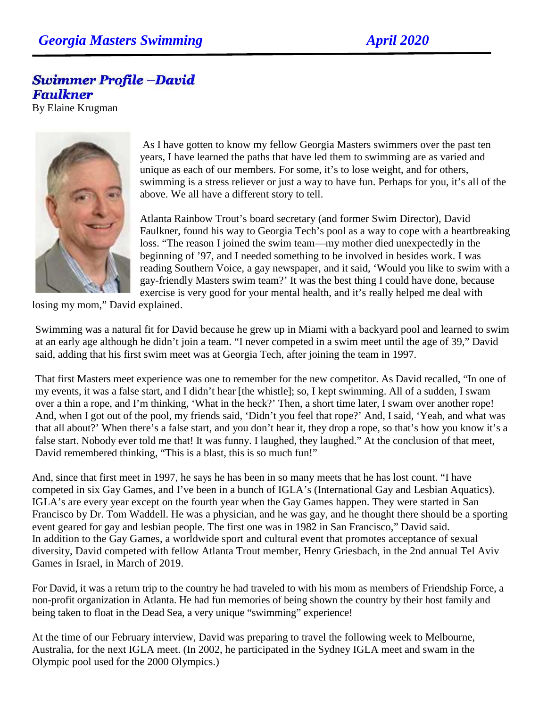## **Swimmer Profile -David Faulkner**

By Elaine Krugman



 As I have gotten to know my fellow Georgia Masters swimmers over the past ten years, I have learned the paths that have led them to swimming are as varied and unique as each of our members. For some, it's to lose weight, and for others, swimming is a stress reliever or just a way to have fun. Perhaps for you, it's all of the above. We all have a different story to tell.

Atlanta Rainbow Trout's board secretary (and former Swim Director), David Faulkner, found his way to Georgia Tech's pool as a way to cope with a heartbreaking loss. "The reason I joined the swim team—my mother died unexpectedly in the beginning of '97, and I needed something to be involved in besides work. I was reading Southern Voice, a gay newspaper, and it said, 'Would you like to swim with a gay-friendly Masters swim team?' It was the best thing I could have done, because exercise is very good for your mental health, and it's really helped me deal with

losing my mom," David explained.

Swimming was a natural fit for David because he grew up in Miami with a backyard pool and learned to swim at an early age although he didn't join a team. "I never competed in a swim meet until the age of 39," David said, adding that his first swim meet was at Georgia Tech, after joining the team in 1997.

That first Masters meet experience was one to remember for the new competitor. As David recalled, "In one of my events, it was a false start, and I didn't hear [the whistle]; so, I kept swimming. All of a sudden, I swam over a thin a rope, and I'm thinking, 'What in the heck?' Then, a short time later, I swam over another rope! And, when I got out of the pool, my friends said, 'Didn't you feel that rope?' And, I said, 'Yeah, and what was that all about?' When there's a false start, and you don't hear it, they drop a rope, so that's how you know it's a false start. Nobody ever told me that! It was funny. I laughed, they laughed." At the conclusion of that meet, David remembered thinking, "This is a blast, this is so much fun!"

And, since that first meet in 1997, he says he has been in so many meets that he has lost count. "I have competed in six Gay Games, and I've been in a bunch of IGLA's (International Gay and Lesbian Aquatics). IGLA's are every year except on the fourth year when the Gay Games happen. They were started in San Francisco by Dr. Tom Waddell. He was a physician, and he was gay, and he thought there should be a sporting event geared for gay and lesbian people. The first one was in 1982 in San Francisco," David said. In addition to the Gay Games, a worldwide sport and cultural event that promotes acceptance of sexual diversity, David competed with fellow Atlanta Trout member, Henry Griesbach, in the 2nd annual Tel Aviv Games in Israel, in March of 2019.

For David, it was a return trip to the country he had traveled to with his mom as members of Friendship Force, a non-profit organization in Atlanta. He had fun memories of being shown the country by their host family and being taken to float in the Dead Sea, a very unique "swimming" experience!

At the time of our February interview, David was preparing to travel the following week to Melbourne, Australia, for the next IGLA meet. (In 2002, he participated in the Sydney IGLA meet and swam in the Olympic pool used for the 2000 Olympics.)